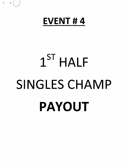# EVENT # 4

 $y = x \left($ 

# $1^{\text{ST}}$  HALF SINGLES CHAMP PAYOUT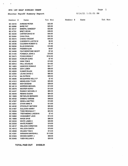### EV4 1ST HALF SINGLES CHAMP

 $\bar{\psi}$ 

 $\mathcal{L}^{\mathcal{L}}$ 

# Shooter Payoff Summary Report

# 8/14/21 1:31:51 PM

Member # Name Tot Won

| Member #        | Name                      | Tot Won  |
|-----------------|---------------------------|----------|
| <b>BC 44418</b> | <b>AHRENS PETER</b>       | \$22.00  |
| <b>BC 02066</b> | <b>BARE PAT</b>           | \$25.00  |
| <b>BC 49147</b> | <b>BINEPAL SANDEEP</b>    | \$33.60  |
| <b>BC 47791</b> | <b>BRETI KEVIN</b>        | \$39.00  |
| <b>BC 40239</b> | <b>CARTER DAVID W</b>     | \$45.00  |
| <b>BC 02484</b> | <b>CHAU PAUL</b>          | \$32.50  |
| <b>BC 46474</b> | <b>CHENG VINCENT</b>      | \$45.00  |
| <b>BC 48230</b> | CHEREWYK JUSTIN W         | \$6.00   |
| BC 35436        | <b>COLEMAN ROBERT E</b>   | \$7.43   |
| <b>BC 02030</b> | <b>ELLIS DONOVAN</b>      | \$15.60  |
| BC 40291        | <b>FADDEN ALAN</b>        | \$4.67   |
| <b>BC 34508</b> | <b>FEATHERSTONE GEOFF</b> | \$7.43   |
| <b>BC 41440</b> | <b>FONSECA JOHN A</b>     | \$19.50  |
| <b>BC 35473</b> | <b>FOOKS BRIAN F</b>      | \$154.50 |
| <b>BC 02520</b> | <b>FOWLER GORD</b>        | \$7.43   |
| <b>BC 45240</b> | <b>GINN TOM E</b>         | \$15.60  |
| BC 00912        | <b>HALL DOUGLAS</b>       | \$14.93  |
| <b>BC 14803</b> | <b>HANCOCK DONALD</b>     | \$24.17  |
| <b>BC 45258</b> | <b>IZOV LUBEN</b>         | \$56.00  |
| <b>BC 49009</b> | KUMAR RAJAN               | \$20.80  |
| BC 42064        | LEUNG DAVID C             | \$66.50  |
| <b>BC 47753</b> | <b>MA PATRICK</b>         | \$35.00  |
| BC 36085        | <b>MCQUARRIE KELLY P</b>  | \$7.43   |
| <b>BC 41912</b> | <b>MIKKELSON TYLER</b>    | \$20.80  |
| <b>BC 46832</b> | <b>MOH BASSAM</b>         | \$39.00  |
| <b>BC 48119</b> | <b>MORRISS MICHAEL</b>    | \$13.00  |
| <b>BC 29378</b> | <b>MUSTER KERRY</b>       | \$13.00  |
| <b>BC 44437</b> | RAMSAY MICHAEL H          | \$65.33  |
| <b>BC 49349</b> | <b>REMIAS DUSAN</b>       | \$64.00  |
| <b>BC 12826</b> | <b>REYNOLDS BERNARD</b>   | \$25.00  |
| <b>BC 49102</b> | SANDHU VIKRAM             | \$48.00  |
| <b>BC 47207</b> | <b>SEKELA MATTEO</b>      | \$15.60  |
| BC 42051        | <b>STARK MIKE R</b>       | \$13.00  |
| BC 48182        | STOCKLEY MATHEW           | \$20.80  |
| <b>BC 01957</b> | SULLIVAN HARRY            | \$19.50  |
| BC 36284        | <b>TODD REGINALD T</b>    | \$23.50  |
| BC 46965        | <b>TREFANENKO JASON N</b> | \$7.43   |
| BC 32662        | <b>VANDAMENT JACK</b>     | \$13.33  |
| BC 16660        | <b>WADE DAVE</b>          | \$86.00  |
| BC 02532        | <b>WHITE JAMIE E</b>      | \$20.80  |
| <b>BC 02530</b> | <b>WHITE ROBERT</b>       | \$19.50  |
| BC 48127        | <b>WILLSON CHRISTIAN</b>  | \$15.60  |
| BC 46412        | <b>WILLSON GARTH</b>      | \$70.60  |
| <b>BC 48580</b> | <b>WILMAN TOM E</b>       | \$13.33  |
| BC 42361        | <b>WIRAWAN MARSHALL</b>   | \$115.80 |
| <b>BC 01024</b> | <b>WOODS GARRY J</b>      | \$58.00  |
| BC 02483        | YUEN WILLIAM K            | \$30.00  |

TOTAL PAID OUT \$1636.01

Page 1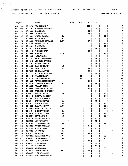Trophy Report EV4 1ST HALF SINGLES CHAMP 8/14/21 1:32:55 PM Page 1 Total Shooters 68 1st 100 TARGETS

 $\mathbf{r} \in \mathbb{R}^{n \times n}$  , where  $\mathbf{r} \in \mathbb{R}^{n \times n}$ 

 $\mathcal{L}_{\mathcal{A}}$ 

|                 | Squad        |                             | Name                                                 |                  | AAA | AA | А   | в        | С               | D    |                |
|-----------------|--------------|-----------------------------|------------------------------------------------------|------------------|-----|----|-----|----------|-----------------|------|----------------|
| BС              | 16.4         | BC 35473                    | <b>FOOKS BRIAN F</b>                                 |                  |     |    | 100 |          |                 |      | A.             |
| BC              | 20.4         | <b>BC 42361</b>             | <b>WIRAWAN MARSHALL</b>                              |                  |     |    |     | 98       |                 |      | в              |
| BC              | 14.4         | <b>BC 45258</b>             | <b>IZOV LUBEN</b>                                    |                  |     |    | 98  |          |                 |      |                |
| BС              | 14.2         | <b>BC 42064</b>             | LEUNG DAVID C                                        |                  |     |    | 98  |          |                 |      |                |
| BС              | 8.3          | <b>BC 01024</b>             | <b>WOODS GARRY J</b>                                 | S٧               |     |    |     |          | 98              |      | с              |
| <b>BC</b>       | 17.2         | <b>BC 16660</b>             | <b>WADE DAVE</b>                                     | sv               |     |    |     | 97       |                 |      | в              |
| BС              | 17.1         | <b>BC 12826</b>             | <b>REYNOLDS BERNARD</b>                              | <b>ELDR</b>      |     |    | 97  |          |                 |      |                |
| BС              | 8.1          | <b>BC 49349</b>             | <b>REMIAS DUSAN</b>                                  |                  |     |    |     |          | 97 I            |      | С              |
| BС              | 5.4          | <b>BC 02484</b>             | <b>CHAU PAUL</b>                                     |                  |     |    |     |          | 97 <sub>1</sub> |      | С              |
| ВC              | 17.5         | BC 02532                    | <b>WHITE JAMIE E</b>                                 |                  |     |    |     | 96       |                 |      | В              |
| BC              | 17.4         | <b>BC 44418</b>             | <b>AHRENS PETER</b>                                  |                  |     |    | 96  |          |                 |      |                |
| ВC              | 10.5         | <b>BC 02066</b>             | <b>BARE PAT</b>                                      | <b>ELDR</b>      |     |    |     |          | 96              |      | С              |
| ВC              | 8.5          | <b>BC 49009</b>             | <b>KUMAR RAJAN</b>                                   |                  |     |    |     | 96       |                 |      | в              |
| <b>BC</b>       | 4.5          | <b>BC 48182</b>             | <b>STOCKLEY MATHEW</b>                               |                  |     |    |     | 96       |                 |      | в              |
| BС              | 4.4          | <b>BC 41912</b>             | <b>MIKKELSON TYLER</b>                               |                  |     |    |     | 96       |                 |      | В              |
| <b>BC</b>       | 3.3          | <b>BC 49102</b>             | <b>SANDHU VIKRAM</b>                                 |                  |     |    |     | 96       |                 |      | В              |
| BC              | 16.5         | <b>BC 02030</b>             | <b>ELLIS DONOVAN</b>                                 | VΤ               |     |    |     | 95       |                 |      | В              |
| ВC              | 14.3         | <b>BC 45240</b>             | <b>GINN TOM E</b>                                    | sv               |     |    | 95  |          |                 |      |                |
| ВC              | 13.3         | <b>BC 47207</b>             | <b>SEKELA MATTEO</b>                                 |                  |     |    | 95  |          |                 |      |                |
| <b>BC</b>       | 4.3          | <b>BC 48127</b>             | <b>WILLSON CHRISTIAN</b>                             |                  |     |    |     | 95       |                 |      | в              |
| <b>BC</b>       | 2.2          | <b>BC 46412</b>             | <b>WILLSON GARTH</b>                                 |                  |     | 95 |     |          |                 |      | ΑА             |
| BC              | 20.1         | <b>BC 40239</b>             | <b>CARTER DAVID W</b>                                |                  |     | 94 |     |          |                 |      | AA             |
| BC              | 17.3         | <b>BC 34508</b>             | <b>FEATHERSTONE GEOFF</b>                            |                  |     |    | 94  |          |                 |      | A              |
| ВC              | 15.5         | BC 35436                    | <b>COLEMAN ROBERT E</b>                              | sv               |     |    |     | 94       |                 |      | в              |
| ВC              | 15.2         | <b>BC 02520</b>             | <b>FOWLER GORD</b>                                   |                  |     |    | 94  |          |                 |      |                |
| BC              | 14.1         | <b>BC 36085</b>             | <b>MCQUARRIE KELLY P</b>                             |                  |     |    | 94  |          |                 |      |                |
| ВC              | 10.4         | <b>BC 46965</b>             |                                                      |                  |     |    |     | 94       |                 |      | в              |
| ВC              | 10.3         | BC 00912                    | <b>TREFANENKO JASON N</b><br><b>HALL DOUGLAS</b>     | VΤ               |     |    |     |          | 94              |      | С              |
| <b>BC</b>       |              |                             |                                                      |                  |     |    |     |          | 94              |      | С              |
| <b>BC</b>       | 5.5          | <b>BC 49147</b>             | <b>BINEPAL SANDEEP</b><br><b>FONSECA JOHN A</b>      |                  |     |    |     |          |                 |      | в              |
|                 | 20.5<br>16.2 | <b>BC 41440</b><br>BC 02044 | <b>BROTEN GERALD</b>                                 | EL               |     |    |     | 93<br>93 |                 |      | В              |
| ВC              |              |                             |                                                      | sv               |     |    |     |          |                 |      | C              |
| ВC              | 16.1         | <b>BC 02530</b>             | <b>WHITE ROBERT</b>                                  |                  |     |    |     |          | 93              |      | С              |
| <b>BC</b>       | 8.4          | BC 01957                    | <b>SULLIVAN HARRY</b>                                | <b>ELDR</b>      |     |    |     |          | 93              |      |                |
| BC              | 2.4          | <b>BC 14803</b>             | <b>HANCOCK DONALD</b>                                |                  |     |    |     |          | 93              |      |                |
| BС              | 1.5          | BC 46474                    | <b>CHENG VINCENT</b>                                 | S٧<br>sv         |     |    |     |          |                 | 93   | С              |
| <b>BC</b>       | 12.5         | <b>BC 35638</b>             | <b>WILSON LLOYD E</b>                                |                  |     |    |     |          | 92              |      | c              |
| BC              | 12.2         | <b>BC 42051</b>             | <b>STARK MIKE R</b>                                  | VТ               |     |    |     |          | 92              |      | в              |
| BC              | 10.2         |                             | BC 48119 MORRISS MICHAEL                             |                  |     |    |     | 92       |                 |      | в              |
| BC              | 10.1         |                             | BC 29378 MUSTER KERRY                                | <b>ELDR</b>      |     |    |     | 92       |                 |      | c              |
| BC<br><b>BC</b> | 3.4<br>20.2  |                             | BC 36284 TODD REGINALD T<br>BC 45003 KAPELUCK DALE A |                  |     |    | 91  |          | 92              |      | A              |
|                 |              |                             | BC 39768 ROSEBOOM BILL                               |                  |     |    |     |          |                 |      | в              |
| <b>BC</b>       | 16.3         |                             | BC 47753 MA PATRICK                                  | VT.<br><b>SV</b> |     |    |     | 91       |                 |      | D              |
| BC              | $1.2$        |                             | BC 01930 SALT LISA                                   |                  |     |    |     |          |                 | 91   | Α              |
| <b>BC</b>       | 15.4         |                             |                                                      | LDI              |     |    | 90  |          |                 |      | С              |
| BC              | 15.1         |                             | BC 01260 BOWMAN BRIAN G                              | <b>ELDR</b>      |     |    |     |          | 90              |      |                |
| <b>BC</b>       | 14.5         |                             | BC 40291 FADDEN ALAN                                 | VT               |     |    |     |          | $90$            |      | С<br>A         |
| BC<br>BC        | 4.2          |                             | BC 47861 FORSTER BURKE<br>BC 40983 BONAR DAVID       |                  |     |    | 90  |          |                 |      | В              |
|                 | 4.1          |                             |                                                      |                  |     |    |     | 90       |                 |      | В              |
| BC<br><b>BC</b> | 13.1<br>3.5  |                             | BC 47791 BRETI KEVIN<br>BC 46832 MOH BASSAM          |                  |     |    |     | 89       |                 |      | С              |
| <b>BC</b>       | 3.1          |                             | BC 45623 CHEUNG WINONA                               | LDI              |     |    | 89  |          | 89              |      | A <sub>1</sub> |
| <b>BC</b>       |              |                             | BC 02483 YUEN WILLIAM K                              |                  |     |    |     |          |                 |      | $D_1$          |
| BC              | 5.1<br>20.3  |                             | BC 44437 RAMSAY MICHAEL H                            |                  |     |    |     |          |                 | 88   |                |
|                 |              |                             |                                                      |                  |     |    |     |          |                 | $87$ | $D_1$          |

 $\Delta$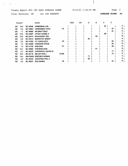Trophy Report EV4 1ST HALF SINGLES CHAMP 8/14/21 1:32:55 PM Page 2 Total Shooters 68 1st 100 TARGETS

 $\mathcal{L}$ 

 $\epsilon$ 

 $\mathcal{A}(\mathbf{r})$  and  $\mathcal{A}(\mathbf{r})$ 

 $\overline{\phantom{a}}$ 

 $\sim$ 

 $\sim$   $\sim$ 

AVERAGE SCORE 90

| Squad     |      |                 | Name                     |             | AAA | AA | Α  | в  | С  | D  |   |
|-----------|------|-----------------|--------------------------|-------------|-----|----|----|----|----|----|---|
| BC.       | 13.5 | <b>BC 46556</b> | <b>HUBERMAN JON</b>      |             |     |    |    |    | 87 |    | С |
| BC.       | 2.3  | BC 32662        | <b>VANDAMENT JACK</b>    | VТ          |     |    |    |    |    | 87 |   |
| BC.       | 1.1  | <b>BC 48580</b> | <b>WILMAN TOM E</b>      |             |     |    |    |    |    | 87 | D |
| BC.       | 13.4 | <b>BC 42067</b> | <b>OTWAY DANIEL F</b>    |             |     |    |    |    | 86 |    | с |
| BC.       | 12.3 | <b>BC 02473</b> | <b>RAJKOWSKI TED</b>     |             |     |    |    | 85 |    |    | в |
| <b>BC</b> | 2.5  | <b>BC 49414</b> | <b>BURDEYNY BRENT</b>    |             |     |    | 85 |    |    |    | Α |
| BC        | 5.2  | <b>BC 47900</b> | YU YANG(JUDY)            | LD          |     |    |    |    |    | 84 | D |
| BC.       | 1.4  | <b>BC 44488</b> | <b>JOHNSON STEVE</b>     |             |     |    |    |    |    | 84 | D |
| BC        | 1.3  | <b>BC 47752</b> | <b>KAM SAM</b>           | VТ          |     |    |    |    |    | 82 | D |
| <b>BC</b> | 12.1 | <b>BC 46082</b> | <b>STEVENS DOM</b>       |             |     |    |    | 81 |    |    | В |
| <b>BC</b> | 2.1  | <b>BC 48230</b> | <b>CHEREWYK JUSTIN W</b> |             |     |    |    |    |    | 77 | D |
| <b>BC</b> | 15.3 | BC 02118        | <b>MILLER RON J</b>      | <b>ELDR</b> |     |    |    |    |    | 73 | D |
| <b>BC</b> | 12.4 | <b>NW 00036</b> | <b>ZENTNER DENNIS</b>    |             |     |    | 71 |    |    |    | Α |
| <b>BC</b> | 3.2  | <b>BC 49442</b> | <b>AGOSTINO PHIL A</b>   |             |     |    | 62 |    |    |    | Α |
| BС        | 5.3  | <b>BC 48231</b> | <b>ZHU DANIEL</b>        | JR          |     |    |    |    |    | 57 | D |
|           |      |                 |                          |             |     |    |    |    |    |    |   |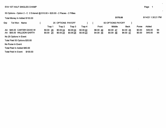#### 50 Options - Option 2 - C 2 Entered @ \$10.00 = \$20.00 - 2 Places - 2 Fifties

| Total Money In Added \$150.00    | \$170.00 |           |                   |          |           |           |                        |                        |        | 8/14/21 1:30:21 PM |     |  |
|----------------------------------|----------|-----------|-------------------|----------|-----------|-----------|------------------------|------------------------|--------|--------------------|-----|--|
| Grp<br>Tot Won Name              |          |           | 25 OPTIONS PAYOFF |          |           |           | 50 OPTIONS PAYOFF      |                        |        |                    |     |  |
|                                  |          | Trap 1    | Trap 2            | Trap 3   | Trap 4    | Front     | Middle                 | <b>Back</b>            | Purse  | Added              |     |  |
| AA \$45.00 CARTER DAVID W        |          | \$0.00 25 | \$0.0024          | \$0.0023 | \$0.00 22 | \$6.00 49 | \$0.0047               | $$4.00$ 45             | \$0.00 | \$35.00            | -94 |  |
| AA \$55.00 WILLSON GARTH         |          | \$0.0024  | \$0.00 24         | \$0.0024 | \$0.0023  | \$4.00 48 | $$0.00 \underline{48}$ | $$6.00 \underline{47}$ | \$0.00 | \$45.00            | 95  |  |
| No 25 Options In Event           |          |           |                   |          |           |           |                        |                        |        |                    |     |  |
| Total Paid 50 Options \$20.00    |          |           |                   |          |           |           |                        |                        |        |                    |     |  |
| No Purse In Event                |          |           |                   |          |           |           |                        |                        |        |                    |     |  |
| Total Paid In Added \$80.00      |          |           |                   |          |           |           |                        |                        |        |                    |     |  |
| \$100.00<br>Total Paid In Event: |          |           |                   |          |           |           |                        |                        |        |                    |     |  |

Page 1

 $\label{eq:2.1} \frac{1}{\sqrt{2\pi}}\int_{0}^{\infty}\frac{1}{\sqrt{2\pi}}\left(\frac{1}{\sqrt{2\pi}}\right)^{2\alpha} \frac{1}{\sqrt{2\pi}}\frac{1}{\sqrt{2\pi}}\frac{1}{\sqrt{2\pi}}\frac{1}{\sqrt{2\pi}}\frac{1}{\sqrt{2\pi}}\frac{1}{\sqrt{2\pi}}\frac{1}{\sqrt{2\pi}}\frac{1}{\sqrt{2\pi}}\frac{1}{\sqrt{2\pi}}\frac{1}{\sqrt{2\pi}}\frac{1}{\sqrt{2\pi}}\frac{1}{\sqrt{2\pi}}\frac{1}{\sqrt{2\pi}}$ 

 $\bullet$ 

 $\mathbf{v}$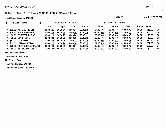# 50 Options - Option 2-07 Entered @ \$10.00 = \$70.00 - 2 Places - 2 Fifties

 $\sim$ 

Total Money In Added \$150.00

| Gro | Tot Won<br>Name          |               | 25 OPTIONS PAYOFF |           |           |            | 50 OPTIONS PAYOFF |             |        |         |     |
|-----|--------------------------|---------------|-------------------|-----------|-----------|------------|-------------------|-------------|--------|---------|-----|
|     |                          | Trap 1        | Trap 2            | Trap 3    | Trap 4    | Front      | Middle            | <b>Back</b> | Purse  | Added   |     |
| A   | \$22.00 AHRENS PETER     | \$0.00<br>-25 | \$0.0024          | \$0.0024  | \$0.0023  | \$7.00 49  | \$0.0048          | $$0.00$ 47  | \$0.00 | \$15.00 | 96  |
| A.  | \$76.50 FOOKS BRIAN F    | \$0.00<br>-25 | \$0.0025          | \$0.0025  | \$0.00 25 | \$10.50 50 | \$0.0050          | \$21.00 50  | \$0.00 | \$45.00 | 100 |
| A   | \$0.00 FORSTER BURKE     | \$0.00<br>-20 | \$0.0025          | \$0.0024  | \$0.00 21 | \$0.0045   | \$0.0049          | \$0.0045    | \$0.00 | \$0.00  | 90  |
| A   | \$0.00 GINN TOM E        | \$0.0023      | \$0.0025          | \$0.00 23 | \$0.00 24 | $$0.00$ 48 | \$0.0048          | \$0.0047    | \$0.00 | \$0.00  | 95  |
| A   | \$43.00 IZOV LUBEN       | \$0.00 25     | \$0.0025          | \$0.0023  | \$0.00 25 | \$10.50 50 | \$0.0048          | \$0.0048    | \$0.00 | \$32.50 | 98  |
| A   | \$53.50 LEUNG DAVID C    | \$0.00 25     | \$0.00 24         | \$0.0024  | \$0.0025  | \$7.00 49  | \$0.0048          | \$14.00 49  | \$0.00 | \$32.50 | 98  |
| A   | \$25.00 REYNOLDS BERNARD | \$0.00<br>-23 | \$0.0025          | \$0.00 24 | \$0.0025  | \$0.0048   | \$0.0049          | \$0.0049    | \$0.00 | \$25.00 | 97  |
| A   | \$0.00 SEKELA MATTEO     | $$0.00$ 25    | \$0.0023          | \$0.00 24 | \$0.0023  | \$0.0048   | \$0.00 47         | \$0.0047    | \$0.00 | \$0.00  | 95  |

 $\lambda$ 

 $\sim$ 

No 25 Options In Event

Total Paid 50 Options \$70.00

No Purse In Event

Total Paid In Added \$150.00

Total Paid In Event: \$220.00

Page 1

\$220.00

#### 8/14/21 1:30:26 PM

 $\ddot{\phantom{0}}$ 

 $\bullet$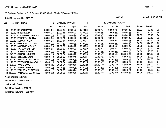50 Options - Option 2 - C\_17 Entered @ \$10.00 = \$170.00 - 2 Places - 2 Fifties

Total Money In Added \$150.00

| Grp | Tot Won    | Name                      |                     | 25 OPTIONS PAYOFF |           |           |                        | 50 OPTIONS PAYOFF      |                        |        |         |    |
|-----|------------|---------------------------|---------------------|-------------------|-----------|-----------|------------------------|------------------------|------------------------|--------|---------|----|
|     |            |                           | Trap 1              | Trap 2            | Trap 3    | Trap 4    | Front                  | Middle                 | <b>Back</b>            | Purse  | Added   |    |
| B   | \$0.00     | <b>BONAR DAVID</b>        | 24<br>\$0.00        | \$0.00 23         | \$0.00 20 | \$0.0023  | \$0.0047               | $$0.00$ 43             | $$0.00 \; 43$          | \$0.00 | \$0.00  | 90 |
| В   | \$0.00     | <b>BRETI KEVIN</b>        | 23<br>\$0.00        | \$0.0023          | \$0.0021  | \$0.0022  | \$0.00 46              | \$0.0044               | \$0.0043               | \$0.00 | \$0.00  | 89 |
| В   |            | \$0.00 COLEMAN ROBERT E   | 23<br>\$0.00        | \$0.00 24         | \$0.00 24 | \$0.0023  | \$0.0047               | \$0.0048               | $$0.00$ 47             | \$0.00 | \$0.00  | 94 |
| в   |            | \$0.00 FONSECA JOHN A     | \$0.00<br>24        | \$0.0021          | \$0.0023  | \$0.0025  | $$0.00$ 45             | \$0.00 44              | \$0.00 48              | \$0.00 | \$0.00  | 93 |
|     |            | \$20.80 KUMAR RAJAN       | 24<br>\$0.00        | \$0.00 24         | \$0.00 24 | \$0.0024  | \$6.80 48              | \$0.0048               | \$0.00 48              | \$0.00 | \$14.00 | 96 |
|     | \$20.80    | <b>MIKKELSON TYLER</b>    | 24<br>\$0.00        | \$0.00 24         | \$0.00 24 | \$0.0024  | \$6.80 48              | \$0.00 48              | \$0.0048               | \$0.00 | \$14.00 | 96 |
| B   | \$0.00     | <b>MORRISS MICHAEL</b>    | \$0.00<br><u>23</u> | \$0.0022          | \$0.00 23 | \$0.0024  | \$0.00 $\frac{45}{ }$  | \$0.0045               | \$0.00 47              | \$0.00 | \$0.00  | 92 |
| B   |            | \$0.00 RAJKOWSKI TED      | \$0.00<br>21        | \$0.00 22         | \$0.0022  | \$0.00 20 | \$0.0043               | \$0.00 44              | \$0.0042               | \$0.00 | \$0.00  | 85 |
| в   | \$0.00     | <b>ROSEBOOM BILL</b>      | \$0.00<br>24        | \$0.00 22         | \$0.00 22 | \$0.0023  | \$0.0046               | $$0.00 \frac{44}{5}$   | \$0.0045               | \$0.00 | \$0.00  | 91 |
| в   | \$48.00    | <b>SANDHU VIKRAM</b>      | 23<br>\$0.00        | \$0.0024          | \$0.00 25 | \$0.0024  | \$0.00 47              | \$0.00 49              | \$34.00 49             | \$0.00 | \$14.00 | 96 |
| в   |            | \$0.00 STEVENS DOM        | \$0.00<br>-19       | \$0.0023          | \$0.00 18 | \$0.0021  | $$0.00 \underline{42}$ | \$0.0041               | \$0.00 39              | \$0.00 | \$0.00  | 81 |
| в   |            | \$20.80 STOCKLEY MATHEW   | \$0.00<br>25        | \$0.0023          | \$0.0025  | \$0.0023  | \$6.80 48              | $$0.00 \underline{48}$ | \$0.0048               | \$0.00 | \$14.00 | 96 |
|     |            | \$0.00 TREFANENKO JASON N | \$0.00<br>23        | \$0.00 24         | \$0.0023  | \$0.00 24 | $$0.00$ 47             | \$0.00 47              | \$0.00 47              | \$0.00 | \$0.00  | 94 |
| в   |            | \$86.00 WADE DAVE         | 25<br>\$0.00        | \$0.0024          | \$0.0025  | \$0.0023  | \$51.00 49             | $$0.00 \underline{49}$ | $$0.00 \underline{48}$ | \$0.00 | \$35.00 | 97 |
| в   |            | \$20.80 WHITE JAMIE E     | \$0.00<br>-23       | \$0.0025          | \$0.00 24 | \$0.00 24 | \$6.80 48              | $$0.00 \underline{49}$ | \$0.0048               | \$0.00 | \$14.00 | 96 |
| B.  | \$0.00     | <b>WILLSON CHRISTIAN</b>  | 22<br>\$0.00        | \$0.00 25         | \$0.0024  | \$0.00 24 | $$0.00$ 47             | $$0.00 \underline{49}$ | \$0.00 48              | \$0.00 | \$0.00  | 95 |
|     | B \$102.80 | <b>WIRAWAN MARSHALL</b>   | -23<br>\$0.00       | \$0.00 25         | \$0.0025  | \$0.00 25 | \$6.80 48              | \$0.00<br>-50          | \$51.00 50             | \$0.00 | \$45.00 | 98 |

No 25 Options In Event

Total Paid 50 Options \$170.00

No Purse In Event

Total Paid In Added \$150.00

Total Paid In Event: \$320.00

Page 1996 – Page 1996 – Page 1996 – Page 1997 – Page 1997 – Page 1997 – Page 1998 – Page 1998 – Page 1998 – Pag

8/14/21 1:30:30 PM

 $\ddot{\phantom{a}}$ 

 $\mathbf{v}$ 

\$320.00

 $\sigma_{\rm eff}$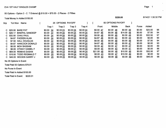#### 50 Options - Option 2 - C\_7 Entered @ \$10.00 = \$70.00 - 2 Places - 2 Fifties

Total Money In Added \$150.00

| Grp | Tot Won<br>Name                   |                     | 25 OPTIONS PAYOFF |           |           |                        | 50 OPTIONS PAYOFF |             |        |         |     |
|-----|-----------------------------------|---------------------|-------------------|-----------|-----------|------------------------|-------------------|-------------|--------|---------|-----|
|     |                                   | Trap 1              | Trap 2            | Trap 3    | Trap 4    | Front                  | Middle            | <b>Back</b> | Purse  | Added   |     |
| C.  | <b>BARE PAT</b><br>\$25.00        | 24<br>\$0.00        | \$0.0023          | \$0.00 25 | \$0.0024  | $$0.00$ 47             | \$0.0048          | \$0.0049    | \$0.00 | \$25.00 | 96  |
| C.  | <b>BINEPAL SANDEEP</b><br>\$26.17 | 22<br>\$0.00        | \$0.0024          | \$0.0024  | \$0.0024  | \$4.67 46              | \$0.0048          | \$14.00 48  | \$0.00 | \$7.50  | 94  |
| C.  | \$32.50 CHAU PAUL                 | -24<br>\$0.00       | \$0.0024          | \$0.0025  | \$0.0024  | \$0.0048               | \$0.0049          | \$0.00 49   | \$0.00 | \$32.50 | 97  |
| C.  | \$4.67 FADDEN ALAN                | -24<br>\$0.00       | \$0.0022          | \$0.0022  | \$0.00 22 | \$4.67 46              | \$0.00 44         | \$0.00 44   | \$0.00 | \$0.00  | 90  |
| C.  | \$7.50 HALL DOUGLAS               | -22<br>\$0.00       | \$0.0024          | \$0.0024  | \$0.0024  | \$0.0046               | \$0.00 48         | \$0.0048    | \$0.00 | \$7.50  | 94  |
| C.  | \$4.67 HANCOCK DONALD             | -23<br>\$0.00       | \$0.0023          | \$0.0023  | \$0.0024  | \$4.67 46              | \$0.00 46         | \$0.00 47   | \$0.00 | \$0.00  | 93  |
| C.  | \$0.00 MOH BASSAM                 | -20<br>\$0.00       | \$0.0022          | \$0.0025  | \$0.00 22 | $$0.00 \underline{42}$ | \$0.00 47         | \$0.0047    | \$0.00 | \$0.00  | 89  |
| C.  | \$0.00 OTWAY DANIEL F             | \$0.00 23           | \$0.0022          | \$0.0021  | \$0.0020  | \$0.0045               | \$0.0043          | \$0.00 41   | \$0.00 | \$0.00  | 86  |
| C.  | \$64.00 REMIAS DUSAN              | 25<br>\$0.00        | \$0.0023          | \$0.0025  | \$0.0024  | \$21.00 48             | \$0.0048          | \$10.50 49  | \$0.00 | \$32.50 | -97 |
|     | \$10.50 TODD REGINALD T           | -20<br>\$0.00       | \$0.0023          | \$0.0024  | \$0.0025  | \$0.0043               | \$0.00 47         | \$10.50 49  | \$0.00 | \$0.00  | 92  |
| C.  | \$45.00 WOODS GARRY J             | <u>25</u><br>\$0.00 | \$0.0025          | \$0.00 24 | \$0.0024  | \$0.00, 50             | \$0.00 49         | $$0.00$ 48  | \$0.00 | \$45.00 | 98  |

No 25 Options In Event

Total Paid 50 Options \$70.01

No Purse In Event

Total Paid In Added \$150.00

Total Paid In Event: \$220.01

\$220.00

8/14/21 1:30:32 PM

 $\sim$ 

 $\mathbf{r}$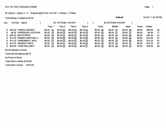# 50 Options - Option 2-01 Entered @ \$10.00 = \$10.00 - 2 Places - 2 Fifties

Total Money In Added \$150.00

| Grp | Tot Won<br><b>Name</b>     |               | 25 OPTIONS PAYOFF |           |           |           | 50 OPTIONS PAYOFF      |                        |              |         |    |
|-----|----------------------------|---------------|-------------------|-----------|-----------|-----------|------------------------|------------------------|--------------|---------|----|
|     |                            | Trap 1        | Trap 2            | Trap 3    | Trap 4    | Front     | Middle                 | Back                   | <b>Purse</b> | Added   |    |
|     | D \$45.00 CHENG VINCENT    | \$0.00<br>-22 | \$0.0022          | \$0.00 25 | \$0.0024  | \$0.00 44 | \$0.00 47              | \$0.00 49              | \$0.00       | \$45.00 | 93 |
| D.  | \$6.00 CHEREWYK JUSTIN W   | \$0.00<br>18  | \$0.00 22         | \$0.0019  | \$0.0018  | \$3.00 40 | \$0.0041               | \$3.00 37              | \$0.00       | \$0.00  | 77 |
|     | D \$35.00 MA PATRICK       | \$0.0024      | \$0.0021          | \$0.0023  | \$0.0023  | \$0.0045  | $$0.00 \underline{44}$ | $$0.00 \underline{46}$ | \$0.00       | \$35.00 | 91 |
|     | D \$13.33 RAMSAY MICHAEL H | \$0.00 23     | \$0.00 20         | \$0.0022  | \$0.0022  | \$0.0043  | \$0.0042               | \$0.00 44              | \$0.00       | \$13.33 | 87 |
|     | D \$13.33 VANDAMENT JACK   | \$0.0022      | \$0.00 20         | \$0.0025  | \$0.00 20 | \$0.0042  | \$0.0045               | \$0.0045               | \$0.00       | \$13.33 | 87 |
|     | D \$13.33 WILMAN TOM E     | $$0.00$ 19    | \$0.0021          | \$0.0024  | \$0.0023  | \$0.0040  | \$0.0045               | \$0.00 47              | \$0.00       | \$13.33 | 87 |
|     | D \$30.00 YUEN WILLIAM K   | \$0.00 23     | \$0.0022          | \$0.0022  | \$0.0021  | \$0.0045  | \$0.0044               | \$0.0043               | \$0.00       | \$30.00 | 88 |

No 25 Options In Event

Total Paid 50 Options \$6.00

No Purse In Event

Total Paid In Added \$149.99

Total Paid In Event: \$155.99

Page 1 and 2008 and 2008 and 2008 and 2008 and 2008 and 2008 and 2008 and 2008 and 2008 and 2008 and 2008 and

\$160.00

8/14/21 1:30:35 PM

 $\sim$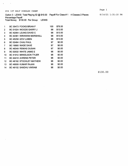$\mathbf{r} = \mathbf{r} \times \mathbf{r}$  ,  $\mathbf{r}$ 

Option 3 - LEWIS Total Playing 52 @ \$10.00 Payoff For Class # 1 4 Classes 2 Places Percentage Payoff

Total Money \$130.00 Per Group LEWIS

 $\sim$ 

| 1  | BC 35473 FOOKS BRIAN F          | 100 | \$78.00 |
|----|---------------------------------|-----|---------|
| 2  | BC 01024 WOODS GARRY J          | 98  | \$13.00 |
| 3  | BC 42064 LEUNG DAVID C          | 98  | \$13.00 |
| 4  | BC 42361 WIRAWAN MARSHALL       | 98  | \$13.00 |
| 5  | BC 45258 IZOV LUBEN             | 98  | \$13.00 |
| 6  | BC 02484 CHAU PAUL              | 97  | \$0.00  |
| 7  | BC 16660 WADE DAVE              | 97  | \$0.00  |
| 8  | BC 49349 REMIAS DUSAN           | 97  | \$0.00  |
| 9  | BC 02532 WHITE JAMIE E          | 96  | \$0.00  |
| 10 | <b>BC 41912 MIKKELSON TYLER</b> | 96  | \$0.00  |
| 11 | <b>BC 44418 AHRENS PETER</b>    | 96  | \$0.00  |
| 12 | BC 48182 STOCKLEY MATHEW        | 96  | \$0.00  |
| 13 | BC 49009 KUMAR RAJAN            | 96  | \$0.00  |
| 14 | BC 49102 SANDHU VIKRAM          | 96  | \$0.00  |

\$130.00

Page 1

8/14/21 1:31:10 PM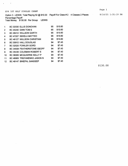$\varphi_{\rm{max}}=0.000$ 

Option 3 - LEWIS Total Playing 52 @ \$10.00 Payoff For Class # 2 4 Classes 2 Places 8/14/21 1:31:19 PM Percentage Payoff Total Money \$130.00 Per Group LEWIS

| 1  | BC 02030 ELLIS DONOVAN            | 95 | \$15.60 |
|----|-----------------------------------|----|---------|
| 2  | <b>BC 45240 GINN TOM E</b>        | 95 | \$15.60 |
| 3  | BC 46412 WILLSON GARTH            | 95 | \$15.60 |
| 4  | BC 47207 SEKELA MATTEO            | 95 | \$15.60 |
| 5  | <b>BC 48127 WILLSON CHRISTIAN</b> | 95 | \$15.60 |
| 6  | BC 00912 HALL DOUGLAS             | 94 | \$7.43  |
| 7  | BC 02520 FOWLER GORD              | 94 | \$7.43  |
| 8  | BC 34508 FEATHERSTONE GEOFF       | 94 | \$7.43  |
| 9  | BC 35436 COLEMAN ROBERT E         | 94 | \$7.43  |
| 10 | BC 36085 MCQUARRIE KELLY P        | 94 | \$7.43  |
| 11 | BC 46965 TREFANENKO JASON N       | 94 | \$7.43  |
| 12 | BC 49147 BINEPAL SANDEEP          | 94 | \$7.43  |

\$130.00

# Page 1